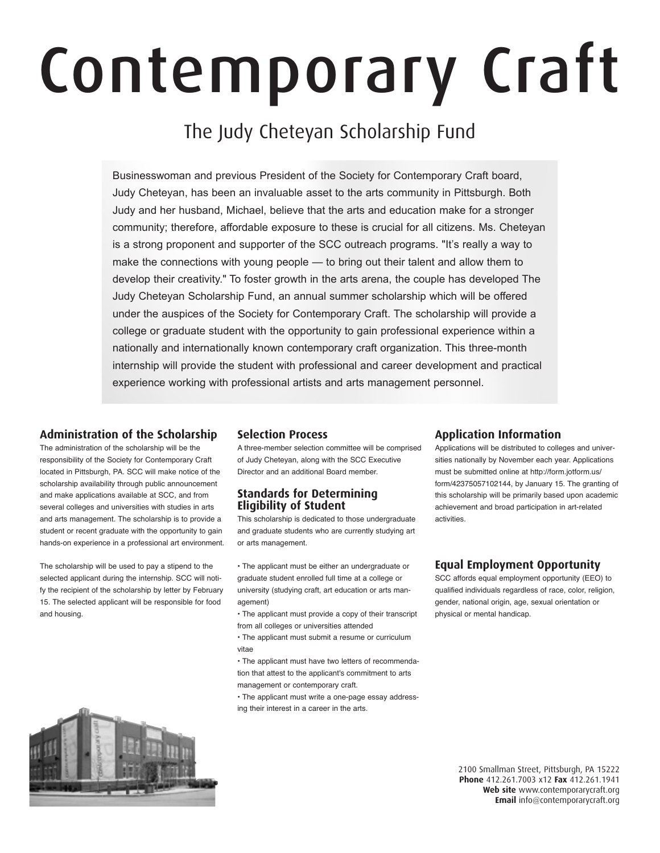# Contemporary Craft

# The Judy Cheteyan Scholarship Fund

Businesswoman and previous President of the Society for Contemporary Craft board, Judy Cheteyan, has been an invaluable asset to the arts community in Pittsburgh. Both Judy and her husband, Michael, believe that the arts and education make for a stronger community; therefore, affordable exposure to these is crucial for all citizens. Ms. Cheteyan is a strong proponent and supporter of the SCC outreach programs. "It's really a way to make the connections with young people — to bring out their talent and allow them to develop their creativity." To foster growth in the arts arena, the couple has developed The Judy Cheteyan Scholarship Fund, an annual summer scholarship which will be offered under the auspices of the Society for Contemporary Craft. The scholarship will provide a college or graduate student with the opportunity to gain professional experience within a nationally and internationally known contemporary craft organization. This three-month internship will provide the student with professional and career development and practical experience working with professional artists and arts management personnel.

# **Administration of the Scholarship**

The administration of the scholarship will be the responsibility of the Society for Contemporary Craft located in Pittsburgh, PA. SCC will make notice of the scholarship availability through public announcement and make applications available at SCC, and from several colleges and universities with studies in arts and arts management. The scholarship is to provide a student or recent graduate with the opportunity to gain hands-on experience in a professional art environment.

The scholarship will be used to pay a stipend to the selected applicant during the internship. SCC will notify the recipient of the scholarship by letter by February 15. The selected applicant will be responsible for food and housing.



# **Selection Process**

A three-member selection committee will be comprised of Judy Cheteyan, along with the SCC Executive Director and an additional Board member.

### **Standards for Determining Eligibility of Student**

This scholarship is dedicated to those undergraduate and graduate students who are currently studying art or arts management.

• The applicant must be either an undergraduate or graduate student enrolled full time at a college or university (studying craft, art education or arts management)

• The applicant must provide a copy of their transcript from all colleges or universities attended

• The applicant must submit a resume or curriculum vitae

• The applicant must have two letters of recommendation that attest to the applicant's commitment to arts management or contemporary craft.

• The applicant must write a one-page essay addressing their interest in a career in the arts.

# **Application Information**

Applications will be distributed to colleges and universities nationally by November each year. Applications must be submitted online at http://form.jotform.us/ form/42375057102144, by January 15. The granting of this scholarship will be primarily based upon academic achievement and broad participation in art-related activities.

### **Equal Employment Opportunity**

SCC affords equal employment opportunity (EEO) to qualified individuals regardless of race, color, religion, gender, national origin, age, sexual orientation or physical or mental handicap.

> 2100 Smallman Street, Pittsburgh, PA 15222 **Phone** 412.261.7003 x12 Fax 412.261.1941 **Web site** www.contemporarycraft.org **Email** info@contemporarycraft.org